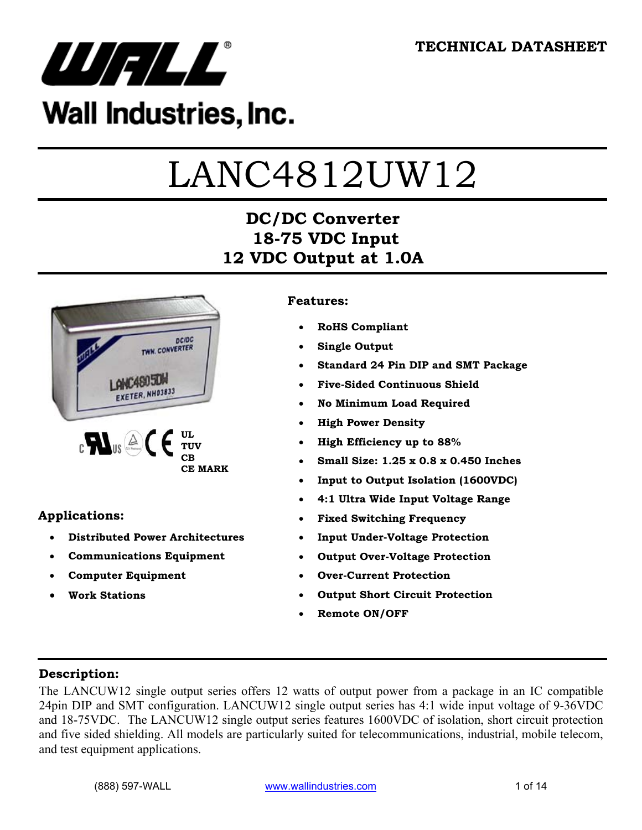

## Wall Industries, Inc.

# LANC4812UW12

## **DC/DC Converter 18-75 VDC Input 12 VDC Output at 1.0A**



#### **Applications:**

- **Distributed Power Architectures**
- **Communications Equipment**
- **Computer Equipment**
- **Work Stations**

#### **Features:**

- **RoHS Compliant**
- **Single Output**
- **Standard 24 Pin DIP and SMT Package**
- **Five-Sided Continuous Shield**
- **No Minimum Load Required**
- **High Power Density**
- **High Efficiency up to 88%**
- **Small Size: 1.25 x 0.8 x 0.450 Inches**
- **Input to Output Isolation (1600VDC)**
- **4:1 Ultra Wide Input Voltage Range**
- **Fixed Switching Frequency**
- **Input Under-Voltage Protection**
- **Output Over-Voltage Protection**
- **Over-Current Protection**
- **Output Short Circuit Protection**
- **Remote ON/OFF**

#### **Description:**

The LANCUW12 single output series offers 12 watts of output power from a package in an IC compatible 24pin DIP and SMT configuration. LANCUW12 single output series has 4:1 wide input voltage of 9-36VDC and 18-75VDC. The LANCUW12 single output series features 1600VDC of isolation, short circuit protection and five sided shielding. All models are particularly suited for telecommunications, industrial, mobile telecom, and test equipment applications.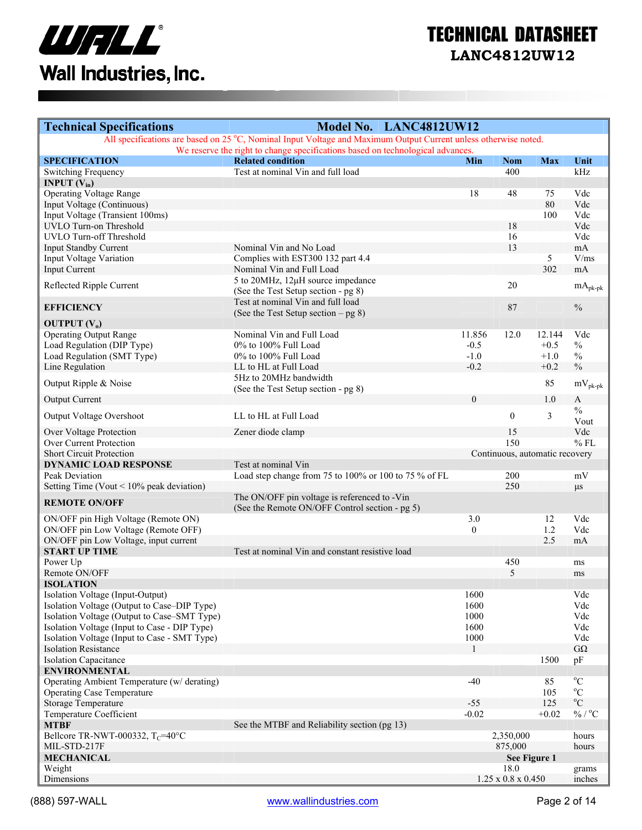

| <b>Technical Specifications</b>                | Model No. LANC4812UW12                                                                                          |              |                                |            |                               |
|------------------------------------------------|-----------------------------------------------------------------------------------------------------------------|--------------|--------------------------------|------------|-------------------------------|
|                                                | All specifications are based on 25 °C, Nominal Input Voltage and Maximum Output Current unless otherwise noted. |              |                                |            |                               |
|                                                | We reserve the right to change specifications based on technological advances.                                  |              |                                |            |                               |
| <b>SPECIFICATION</b>                           | <b>Related condition</b><br>Test at nominal Vin and full load                                                   | Min          | <b>Nom</b><br>400              | <b>Max</b> | Unit<br>kHz                   |
| Switching Frequency<br><b>INPUT</b> $(V_{in})$ |                                                                                                                 |              |                                |            |                               |
| <b>Operating Voltage Range</b>                 |                                                                                                                 | 18           | 48                             | 75         | Vdc                           |
| Input Voltage (Continuous)                     |                                                                                                                 |              |                                | 80         | Vdc                           |
| Input Voltage (Transient 100ms)                |                                                                                                                 |              |                                | 100        | Vdc                           |
| UVLO Turn-on Threshold                         |                                                                                                                 |              | 18                             |            | Vdc                           |
| <b>UVLO Turn-off Threshold</b>                 |                                                                                                                 |              | 16                             |            | Vdc                           |
| Input Standby Current                          | Nominal Vin and No Load                                                                                         |              | 13                             |            | mA                            |
| Input Voltage Variation                        | Complies with EST300 132 part 4.4                                                                               |              |                                | 5          | V/ms                          |
| <b>Input Current</b>                           | Nominal Vin and Full Load                                                                                       |              |                                | 302        | mA                            |
|                                                | 5 to 20MHz, 12µH source impedance                                                                               |              |                                |            |                               |
| Reflected Ripple Current                       |                                                                                                                 |              | 20                             |            | $mA_{pk\text{-}pk}$           |
|                                                | (See the Test Setup section - pg 8)                                                                             |              |                                |            |                               |
| <b>EFFICIENCY</b>                              | Test at nominal Vin and full load                                                                               |              | 87                             |            | $\frac{0}{0}$                 |
|                                                | (See the Test Setup section $-$ pg 8)                                                                           |              |                                |            |                               |
| OUTPUT $(V_0)$                                 | Nominal Vin and Full Load                                                                                       |              |                                |            | Vdc                           |
| <b>Operating Output Range</b>                  |                                                                                                                 | 11.856       | 12.0                           | 12.144     |                               |
| Load Regulation (DIP Type)                     | 0% to 100% Full Load                                                                                            | $-0.5$       |                                | $+0.5$     | $\%$                          |
| Load Regulation (SMT Type)                     | 0% to 100% Full Load                                                                                            | $-1.0$       |                                | $+1.0$     | $\%$                          |
| Line Regulation                                | LL to HL at Full Load                                                                                           | $-0.2$       |                                | $+0.2$     | $\frac{0}{0}$                 |
| Output Ripple & Noise                          | 5Hz to 20MHz bandwidth                                                                                          |              |                                | 85         | $mV_{pk-pk}$                  |
|                                                | (See the Test Setup section - pg 8)                                                                             | $\mathbf{0}$ |                                | 1.0        |                               |
| <b>Output Current</b>                          |                                                                                                                 |              |                                |            | $\mathbf{A}$<br>$\frac{0}{0}$ |
| Output Voltage Overshoot                       | LL to HL at Full Load                                                                                           |              | $\boldsymbol{0}$               | 3          | Vout                          |
| Over Voltage Protection                        | Zener diode clamp                                                                                               |              | 15                             |            | Vdc                           |
| Over Current Protection                        |                                                                                                                 |              | 150                            |            | $%$ FL                        |
| <b>Short Circuit Protection</b>                |                                                                                                                 |              | Continuous, automatic recovery |            |                               |
| <b>DYNAMIC LOAD RESPONSE</b>                   | Test at nominal Vin                                                                                             |              |                                |            |                               |
| Peak Deviation                                 | Load step change from 75 to 100% or 100 to 75 % of FL                                                           |              | 200                            |            | mV                            |
| Setting Time (Vout $\leq 10\%$ peak deviation) |                                                                                                                 |              | 250                            |            | $\mu s$                       |
|                                                | The ON/OFF pin voltage is referenced to -Vin                                                                    |              |                                |            |                               |
| <b>REMOTE ON/OFF</b>                           | (See the Remote ON/OFF Control section - pg 5)                                                                  |              |                                |            |                               |
| ON/OFF pin High Voltage (Remote ON)            |                                                                                                                 | 3.0          |                                | 12         | Vdc                           |
| ON/OFF pin Low Voltage (Remote OFF)            |                                                                                                                 | $\mathbf{0}$ |                                | 1.2        | Vdc                           |
| ON/OFF pin Low Voltage, input current          |                                                                                                                 |              |                                | 2.5        | mA                            |
| <b>START UP TIME</b>                           | Test at nominal Vin and constant resistive load                                                                 |              |                                |            |                               |
| Power Up                                       |                                                                                                                 |              | 450                            |            | ms                            |
| Remote ON/OFF                                  |                                                                                                                 |              | 5                              |            | ms                            |
| <b>ISOLATION</b>                               |                                                                                                                 |              |                                |            |                               |
| Isolation Voltage (Input-Output)               |                                                                                                                 | 1600         |                                |            | Vdc                           |
| Isolation Voltage (Output to Case-DIP Type)    |                                                                                                                 | 1600         |                                |            | Vdc                           |
| Isolation Voltage (Output to Case-SMT Type)    |                                                                                                                 | 1000         |                                |            | Vdc                           |
| Isolation Voltage (Input to Case - DIP Type)   |                                                                                                                 | 1600         |                                |            | Vdc                           |
| Isolation Voltage (Input to Case - SMT Type)   |                                                                                                                 | 1000         |                                |            | Vdc                           |
| <b>Isolation Resistance</b>                    |                                                                                                                 | 1            |                                |            | $G\Omega$                     |
| <b>Isolation Capacitance</b>                   |                                                                                                                 |              |                                | 1500       | pF                            |
| <b>ENVIRONMENTAL</b>                           |                                                                                                                 |              |                                |            |                               |
| Operating Ambient Temperature (w/ derating)    |                                                                                                                 | $-40$        |                                | 85         | $\rm ^{o}C$                   |
| <b>Operating Case Temperature</b>              |                                                                                                                 |              |                                | 105        | $^{\circ}C$                   |
| Storage Temperature                            |                                                                                                                 | $-55$        |                                | 125        | $\rm ^{o}C$                   |
| Temperature Coefficient                        |                                                                                                                 | $-0.02$      |                                | $+0.02$    | $\%$ / $^{\rm o}\textrm{C}$   |
| <b>MTBF</b>                                    | See the MTBF and Reliability section (pg 13)                                                                    |              |                                |            |                               |
| Bellcore TR-NWT-000332, $T_C$ =40°C            |                                                                                                                 |              | 2,350,000                      |            | hours                         |
| MIL-STD-217F                                   |                                                                                                                 |              | 875,000                        |            | hours                         |
| <b>MECHANICAL</b>                              |                                                                                                                 |              | See Figure 1                   |            |                               |
| Weight                                         |                                                                                                                 |              | 18.0                           |            | grams                         |
| Dimensions                                     |                                                                                                                 |              | $1.25 \times 0.8 \times 0.450$ |            | inches                        |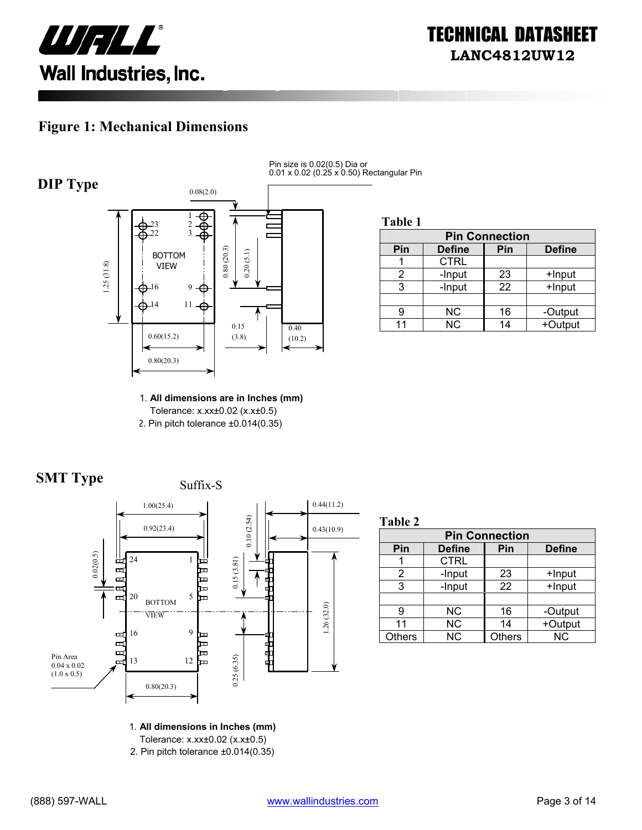

#### **Figure 1: Mechanical Dimensions**



Pin size is 0.02(0.5) Dia or 0.01 x 0.02 (0.25 x 0.50) Rectangular Pin

**Table 1**

| <b>Pin Connection</b> |               |     |               |  |
|-----------------------|---------------|-----|---------------|--|
| Pin                   | <b>Define</b> | Pin | <b>Define</b> |  |
|                       | <b>CTRL</b>   |     |               |  |
|                       | -Input        | 23  | +Input        |  |
| 3                     | -Input        | 22  | +Input        |  |
|                       |               |     |               |  |
| 9                     | <b>NC</b>     | 16  | -Output       |  |
| 11                    | <b>NC</b>     | 14  | +Output       |  |

1. **All dimensions are in Inches (mm)**  Tolerance: x.xx±0.02 (x.x±0.5) 2. Pin pitch tolerance ±0.014(0.35)





**Table 2**

| <b>Pin Connection</b> |               |               |               |  |
|-----------------------|---------------|---------------|---------------|--|
| Pin                   | <b>Define</b> | Pin           | <b>Define</b> |  |
|                       | <b>CTRL</b>   |               |               |  |
| 2                     | -Input        | 23            | +Input        |  |
| 3                     | -Input        | 22            | +Input        |  |
|                       |               |               |               |  |
| g                     | ΝC            | 16            | -Output       |  |
| 11                    | <b>NC</b>     | 14            | +Output       |  |
| <b>Others</b>         | <b>NC</b>     | <b>Others</b> | <b>NC</b>     |  |

1. **All dimensions in Inches (mm)** 

Tolerance: x.xx±0.02 (x.x±0.5)

2. Pin pitch tolerance ±0.014(0.35)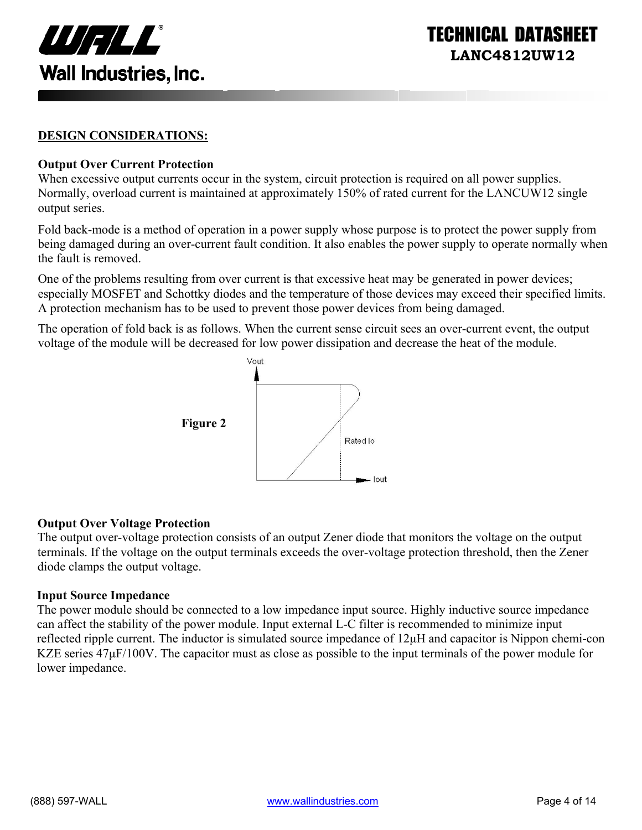

INICAL DATASI **LANC4812UW12** 

#### **DESIGN CONSIDERATIONS:**

#### **Output Over Current Protection**

When excessive output currents occur in the system, circuit protection is required on all power supplies. Normally, overload current is maintained at approximately 150% of rated current for the LANCUW12 single output series.

Fold back-mode is a method of operation in a power supply whose purpose is to protect the power supply from being damaged during an over-current fault condition. It also enables the power supply to operate normally when the fault is removed.

One of the problems resulting from over current is that excessive heat may be generated in power devices; especially MOSFET and Schottky diodes and the temperature of those devices may exceed their specified limits. A protection mechanism has to be used to prevent those power devices from being damaged.

The operation of fold back is as follows. When the current sense circuit sees an over-current event, the output voltage of the module will be decreased for low power dissipation and decrease the heat of the module.



#### **Output Over Voltage Protection**

The output over-voltage protection consists of an output Zener diode that monitors the voltage on the output terminals. If the voltage on the output terminals exceeds the over-voltage protection threshold, then the Zener diode clamps the output voltage.

#### **Input Source Impedance**

The power module should be connected to a low impedance input source. Highly inductive source impedance can affect the stability of the power module. Input external L-C filter is recommended to minimize input reflected ripple current. The inductor is simulated source impedance of 12µH and capacitor is Nippon chemi-con KZE series  $47\mu$ F/100V. The capacitor must as close as possible to the input terminals of the power module for lower impedance.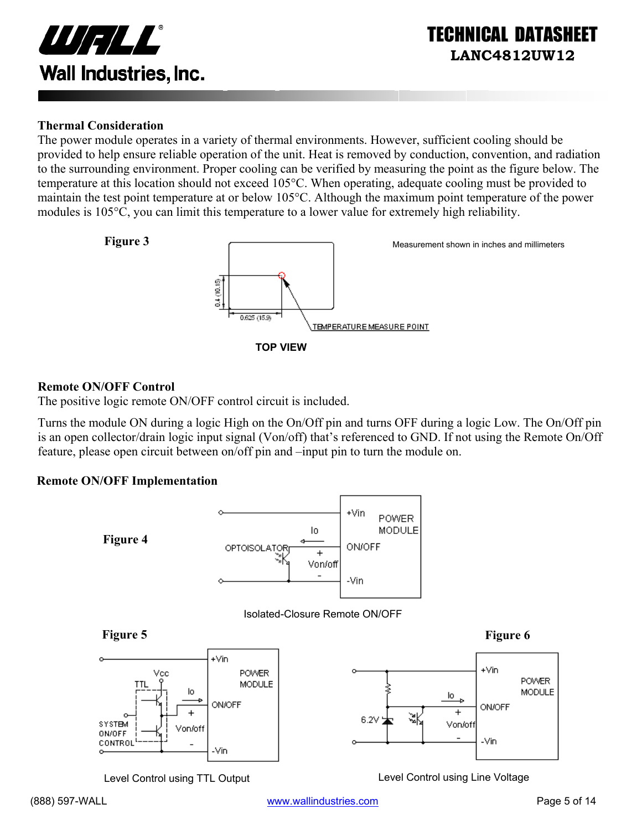

#### **Thermal Consideration**

The power module operates in a variety of thermal environments. However, sufficient cooling should be provided to help ensure reliable operation of the unit. Heat is removed by conduction, convention, and radiation to the surrounding environment. Proper cooling can be verified by measuring the point as the figure below. The temperature at this location should not exceed 105°C. When operating, adequate cooling must be provided to maintain the test point temperature at or below 105°C. Although the maximum point temperature of the power modules is 105°C, you can limit this temperature to a lower value for extremely high reliability.



#### **Remote ON/OFF Control**

The positive logic remote ON/OFF control circuit is included.

Turns the module ON during a logic High on the On/Off pin and turns OFF during a logic Low. The On/Off pin is an open collector/drain logic input signal (Von/off) that's referenced to GND. If not using the Remote On/Off feature, please open circuit between on/off pin and –input pin to turn the module on.

#### **Remote ON/OFF Implementation**



Level Control using TTL Output Level Control using Line Voltage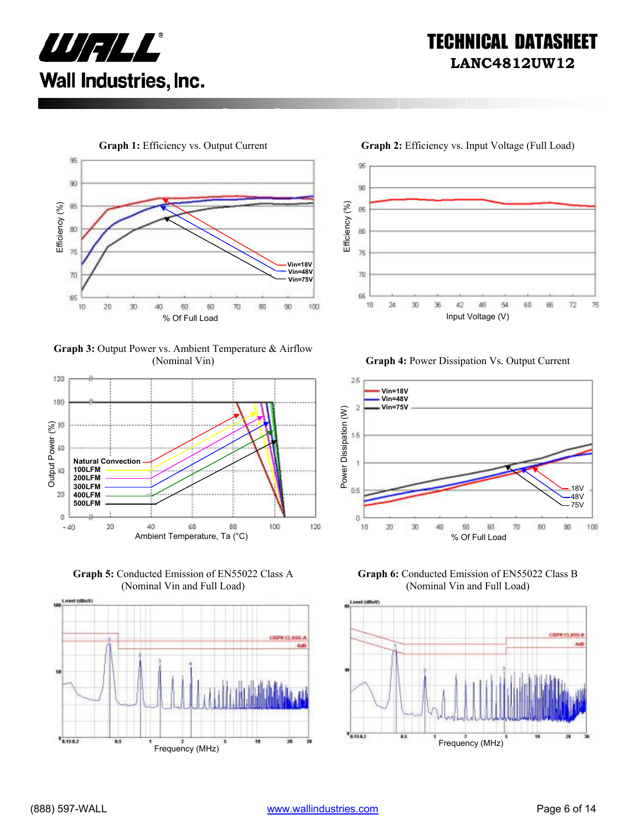



**Graph 3:** Output Power vs. Ambient Temperature & Airflow



**Graph 5:** Conducted Emission of EN55022 Class A (Nominal Vin and Full Load)



96  $90$ Efficiency (%) Efficiency (%) 85 80  $75$ 70 65 18 30 36 42 54 60 86  $72$ 76  $^{24}$ 48

(Nominal Vin) **Graph 4:** Power Dissipation Vs. Output Current



**Graph 6:** Conducted Emission of EN55022 Class B (Nominal Vin and Full Load)

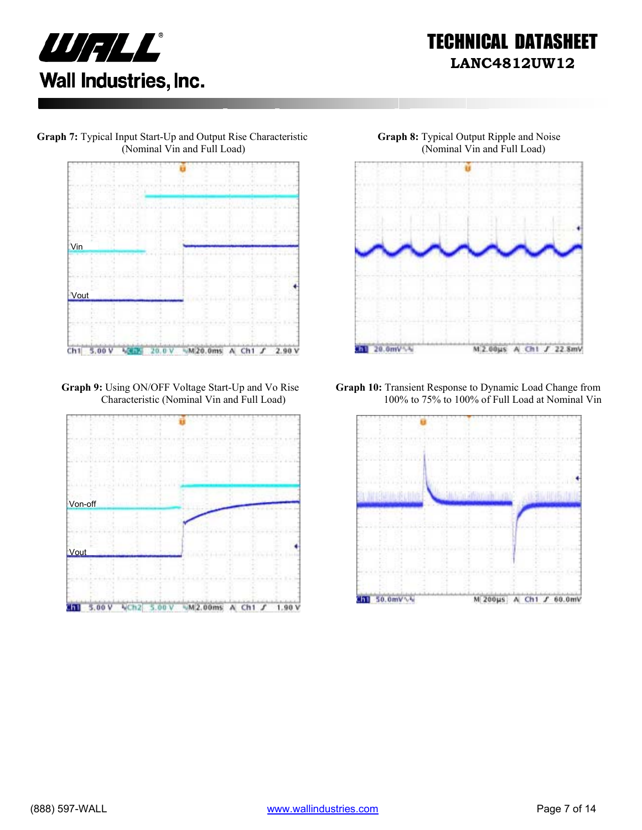





**Graph 9:** Using ON/OFF Voltage Start-Up and Vo Rise Characteristic (Nominal Vin and Full Load)





**Graph 10:** Transient Response to Dynamic Load Change from 100% to 75% to 100% of Full Load at Nominal Vin

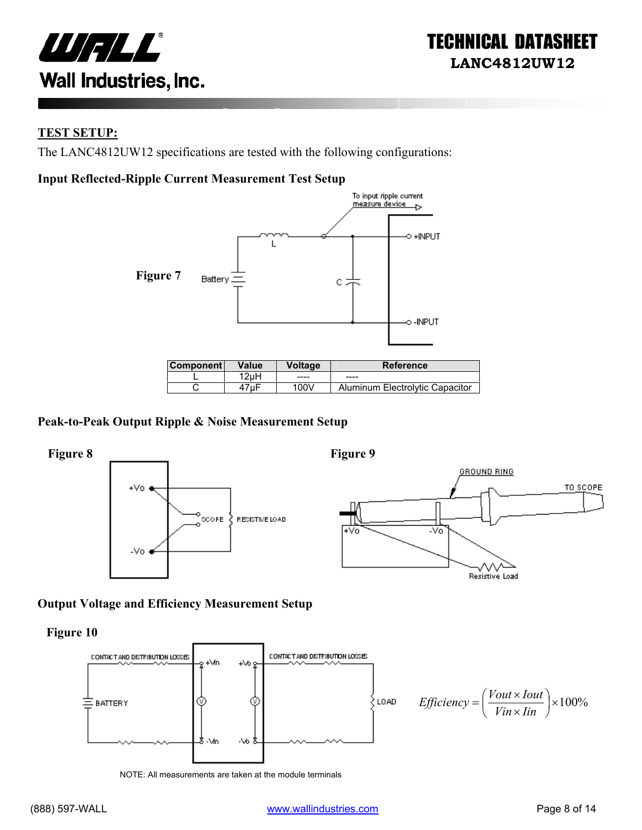

#### **TEST SETUP:**

The LANC4812UW12 specifications are tested with the following configurations:

#### **Input Reflected-Ripple Current Measurement Test Setup**



| ⊺Component l | Value | Voltage | Reference                       |
|--------------|-------|---------|---------------------------------|
|              | 2uH   | ----    | $- - - -$                       |
|              | ⊦7uF  | 100V    | Aluminum Electrolytic Capacitor |

#### **Peak-to-Peak Output Ripple & Noise Measurement Setup**



#### **Output Voltage and Efficiency Measurement Setup**

**Figure 10** 



NOTE: All measurements are taken at the module terminals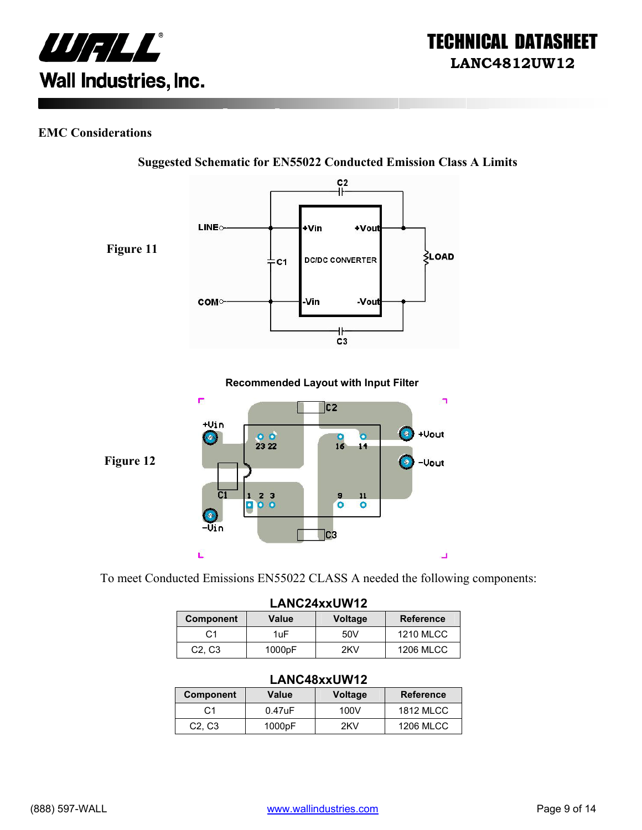

#### **EMC Considerations**



**Suggested Schematic for EN55022 Conducted Emission Class A Limits** 

To meet Conducted Emissions EN55022 CLASS A needed the following components:

| LANC24xxUW12                    |        |                |                  |
|---------------------------------|--------|----------------|------------------|
| <b>Component</b>                | Value  | <b>Voltage</b> | <b>Reference</b> |
| C <sub>1</sub>                  | 1uF    | 50V            | <b>1210 MLCC</b> |
| C <sub>2</sub> , C <sub>3</sub> | 1000pF | 2KV            | <b>1206 MLCC</b> |

#### **LANC48xxUW12**

| Component                       | Value     | <b>Voltage</b> | <b>Reference</b> |
|---------------------------------|-----------|----------------|------------------|
| C1                              | $0.47$ uF | 100V           | 1812 MLCC        |
| C <sub>2</sub> , C <sub>3</sub> | 1000pF    | 2KV            | <b>1206 MLCC</b> |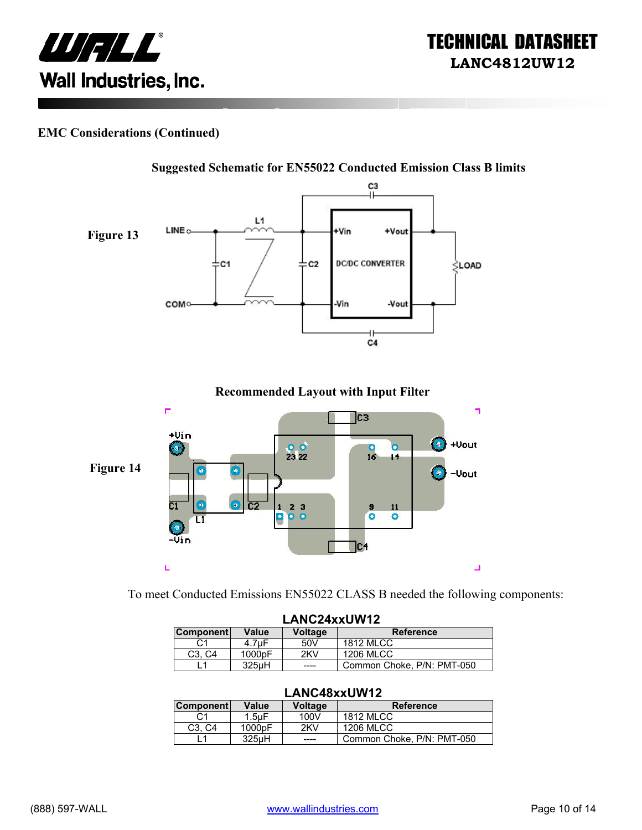

#### **EMC Considerations (Continued)**



**Recommended Layout with Input Filter** 



To meet Conducted Emissions EN55022 CLASS B needed the following components:

| LANC24xxUW12     |                     |                |                            |
|------------------|---------------------|----------------|----------------------------|
| <b>Component</b> | Value               | <b>Voltage</b> | <b>Reference</b>           |
| C1               | 4.7uF               | 50V            | <b>1812 MLCC</b>           |
| C3. C4           | 1000 <sub>p</sub> F | 2KV            | <b>1206 MLCC</b>           |
|                  | 325uH               | ----           | Common Choke, P/N: PMT-050 |

#### **LANC48xxUW12**

| <b>Component</b>                | Value              | <b>Voltage</b> | <b>Reference</b>           |
|---------------------------------|--------------------|----------------|----------------------------|
| C <sub>1</sub>                  | $1.5$ u $F$        | 100V           | <b>1812 MLCC</b>           |
| C <sub>3</sub> . C <sub>4</sub> | 1000pF             | 2KV            | 1206 MLCC                  |
|                                 | 325 <sub>u</sub> H | ----           | Common Choke, P/N: PMT-050 |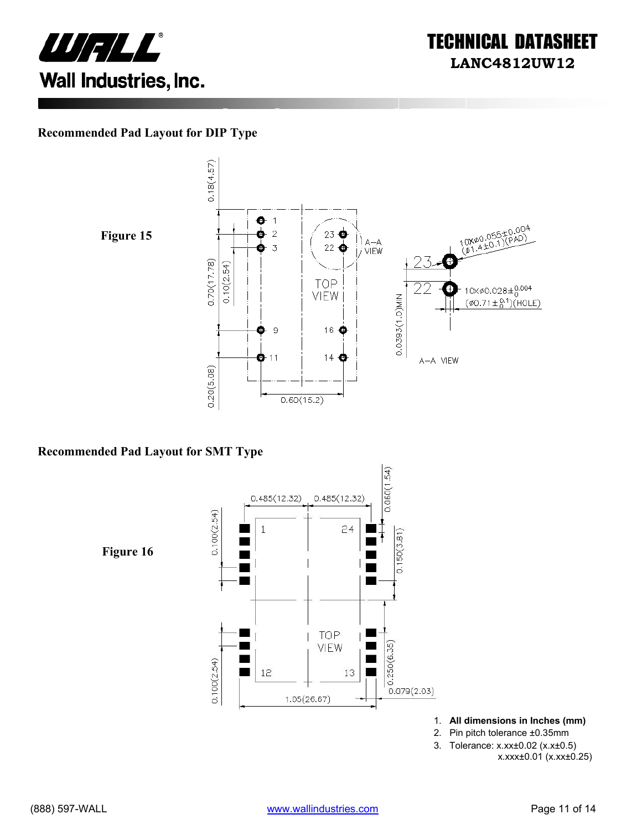



#### **Recommended Pad Layout for DIP Type**





#### **Recommended Pad Layout for SMT Type**



- 1. **All dimensions in Inches (mm)**
- 2. Pin pitch tolerance ±0.35mm
- 3. Tolerance: x.xx±0.02 (x.x±0.5)
	- x.xxx±0.01 (x.xx±0.25)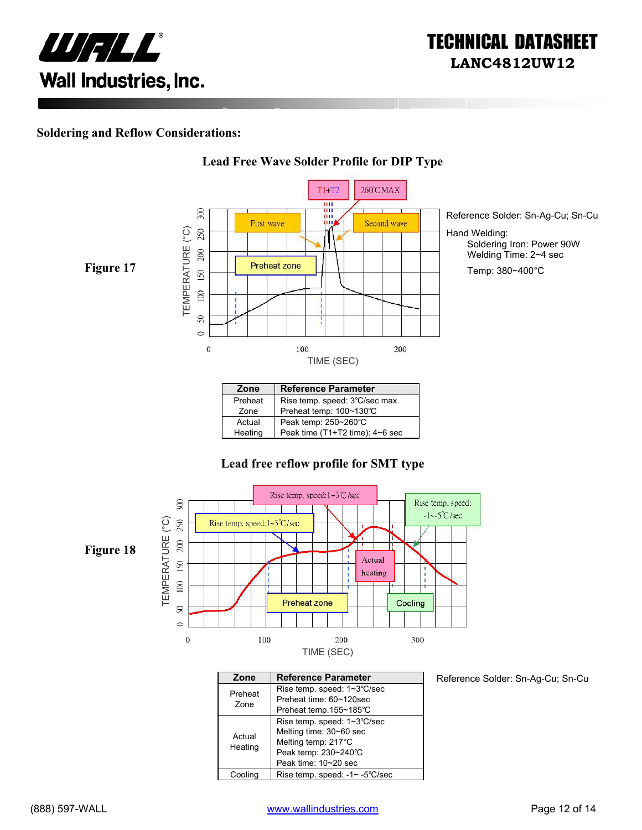

#### **Soldering and Reflow Considerations:**



**Lead Free Wave Solder Profile for DIP Type**

#### Preheat | Rise temp. speed: 3℃/sec max. Zone Preheat temp: 100~130℃ Actual Peak temp: 250~260°C<br>Heating Peak time (T1+T2 time) Peak time (T1+T2 time): 4~6 sec

#### **Lead free reflow profile for SMT type**



| Zone    | <b>Reference Parameter</b>     |
|---------|--------------------------------|
| Preheat | Rise temp. speed: 1~3°C/sec    |
| Zone    | Preheat time: 60~120sec        |
|         | Preheat temp.155~185°C         |
|         | Rise temp. speed: 1~3°C/sec    |
| Actual  | Melting time: 30~60 sec        |
| Heating | Melting temp: 217°C            |
|         | Peak temp: 230~240°C           |
|         | Peak time: 10~20 sec           |
| Coolina | Rise temp. speed: -1~ -5°C/sec |

Reference Solder: Sn-Ag-Cu; Sn-Cu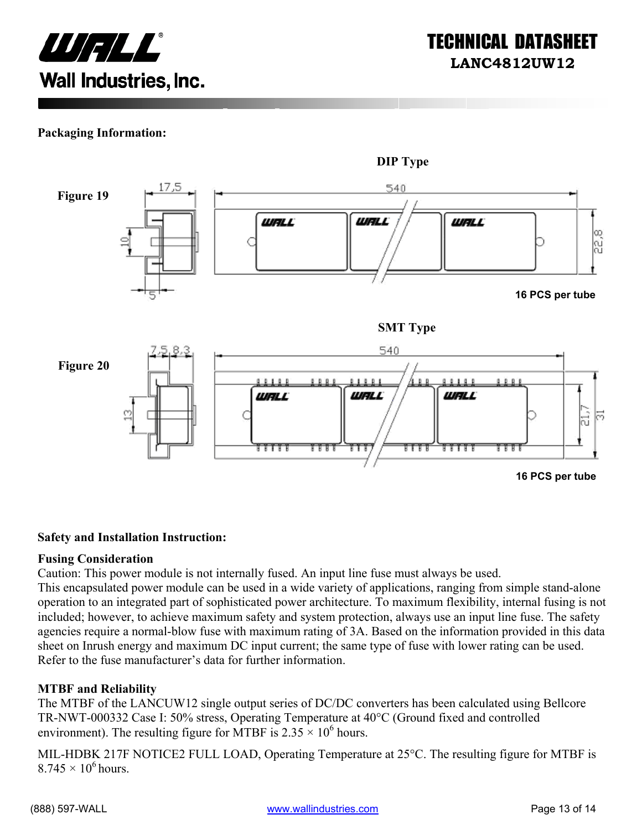

#### **Packaging Information:**



#### **Safety and Installation Instruction:**

#### **Fusing Consideration**

Caution: This power module is not internally fused. An input line fuse must always be used.

This encapsulated power module can be used in a wide variety of applications, ranging from simple stand-alone operation to an integrated part of sophisticated power architecture. To maximum flexibility, internal fusing is not included; however, to achieve maximum safety and system protection, always use an input line fuse. The safety agencies require a normal-blow fuse with maximum rating of 3A. Based on the information provided in this data sheet on Inrush energy and maximum DC input current; the same type of fuse with lower rating can be used. Refer to the fuse manufacturer's data for further information.

#### **MTBF and Reliability**

The MTBF of the LANCUW12 single output series of DC/DC converters has been calculated using Bellcore TR-NWT-000332 Case I: 50% stress, Operating Temperature at 40°C (Ground fixed and controlled environment). The resulting figure for MTBF is  $2.35 \times 10^6$  hours.

MIL-HDBK 217F NOTICE2 FULL LOAD, Operating Temperature at 25°C. The resulting figure for MTBF is  $8.745 \times 10^6$  hours.